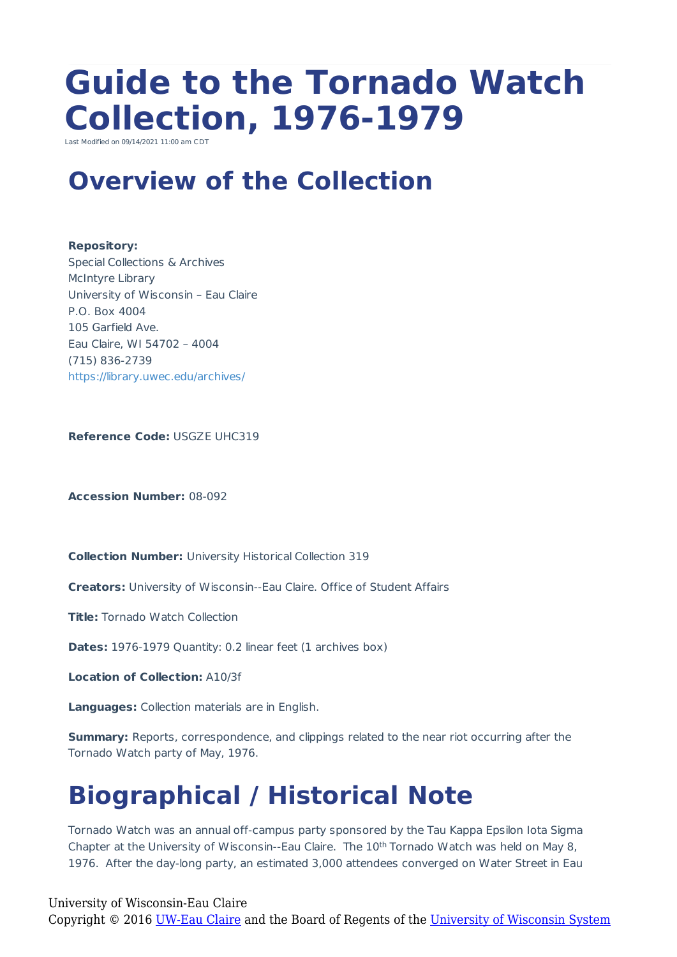# **Guide to the Tornado Watch Collection, 1976-1979**

Last Modified on 09/14/2021  $11:00$  am C

### **Overview of the Collection**

**Repository:** Special Collections & Archives McIntyre Library University of Wisconsin – Eau Claire P.O. Box 4004 105 Garfield Ave. Eau Claire, WI 54702 – 4004 (715) 836-2739 https://library.uwec.edu/archives/

**Reference Code:** USGZE UHC319

**Accession Number:** 08-092

**Collection Number:** University Historical Collection 319

**Creators:** University of Wisconsin--Eau Claire. Office of Student Affairs

**Title:** Tornado Watch Collection

**Dates:** 1976-1979 Quantity: 0.2 linear feet (1 archives box)

**Location of Collection:** A10/3f

**Languages:** Collection materials are in English.

**Summary:** Reports, correspondence, and clippings related to the near riot occurring after the Tornado Watch party of May, 1976.

## **Biographical / Historical Note**

Tornado Watch was an annual off-campus party sponsored by the Tau Kappa Epsilon Iota Sigma Chapter at the University of Wisconsin--Eau Claire. The 10<sup>th</sup> Tornado Watch was held on May 8, 1976. After the day-long party, an estimated 3,000 attendees converged on Water Street in Eau

University of Wisconsin-Eau Claire

Copyright © 2016 [UW-Eau Claire](http://www.uwec.edu) and the Board of Regents of the [University of Wisconsin System](http://www.uwsa.edu/)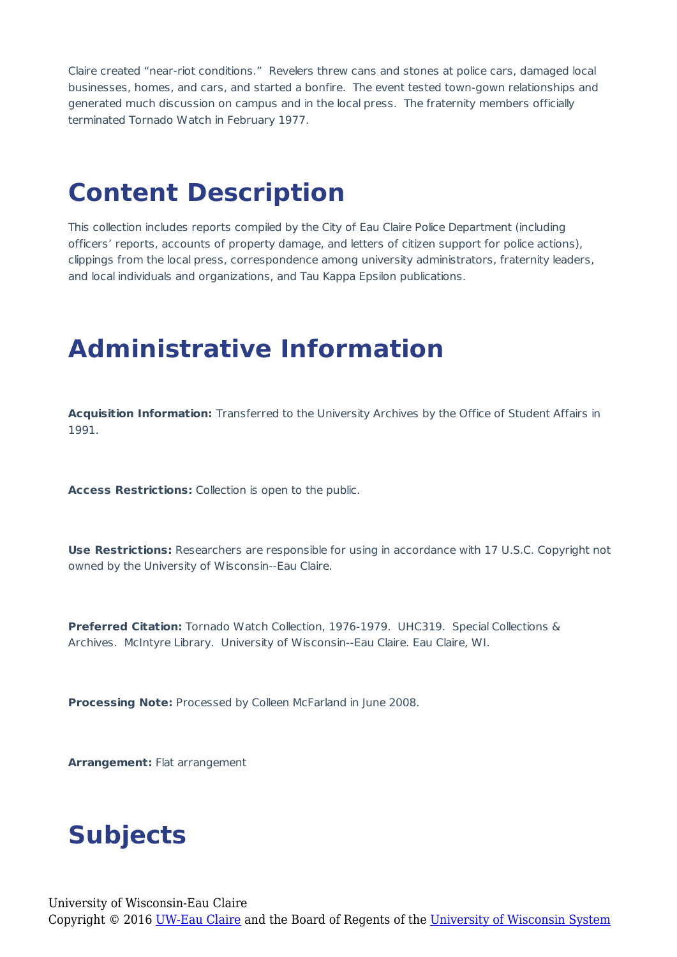Claire created "near-riot conditions." Revelers threw cans and stones at police cars, damaged local businesses, homes, and cars, and started a bonfire. The event tested town-gown relationships and generated much discussion on campus and in the local press. The fraternity members officially terminated Tornado Watch in February 1977.

#### **Content Description**

This collection includes reports compiled by the City of Eau Claire Police Department (including officers' reports, accounts of property damage, and letters of citizen support for police actions), clippings from the local press, correspondence among university administrators, fraternity leaders, and local individuals and organizations, and Tau Kappa Epsilon publications.

#### **Administrative Information**

**Acquisition Information:** Transferred to the University Archives by the Office of Student Affairs in 1991.

**Access Restrictions:** Collection is open to the public.

**Use Restrictions:** Researchers are responsible for using in accordance with 17 U.S.C. Copyright not owned by the University of Wisconsin--Eau Claire.

**Preferred Citation:** Tornado Watch Collection, 1976-1979. UHC319. Special Collections & Archives. McIntyre Library. University of Wisconsin--Eau Claire. Eau Claire, WI.

**Processing Note:** Processed by Colleen McFarland in June 2008.

**Arrangement:** Flat arrangement

#### **Subjects**